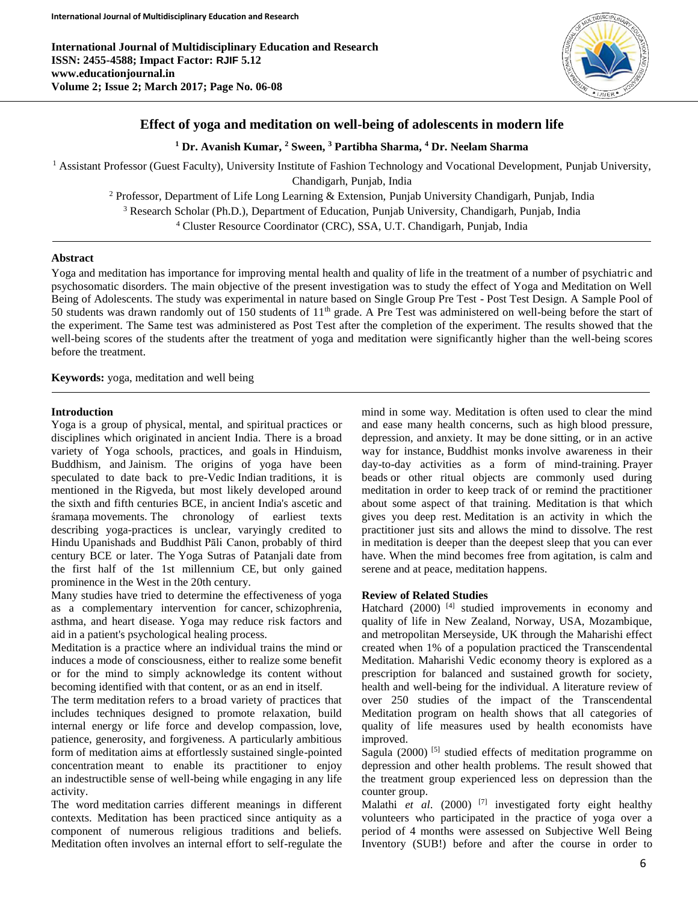

# **Effect of yoga and meditation on well-being of adolescents in modern life**

# **<sup>1</sup> Dr. Avanish Kumar, <sup>2</sup> Sween, <sup>3</sup> Partibha Sharma, <sup>4</sup> Dr. Neelam Sharma**

<sup>1</sup> Assistant Professor (Guest Faculty), University Institute of Fashion Technology and Vocational Development, Punjab University,

Chandigarh, Punjab, India

<sup>2</sup> Professor, Department of Life Long Learning & Extension, Punjab University Chandigarh, Punjab, India

<sup>3</sup> Research Scholar (Ph.D.), Department of Education, Punjab University, Chandigarh, Punjab, India

<sup>4</sup> Cluster Resource Coordinator (CRC), SSA, U.T. Chandigarh, Punjab, India

# **Abstract**

Yoga and meditation has importance for improving mental health and quality of life in the treatment of a number of psychiatric and psychosomatic disorders. The main objective of the present investigation was to study the effect of Yoga and Meditation on Well Being of Adolescents. The study was experimental in nature based on Single Group Pre Test - Post Test Design. A Sample Pool of 50 students was drawn randomly out of 150 students of 11th grade. A Pre Test was administered on well-being before the start of the experiment. The Same test was administered as Post Test after the completion of the experiment. The results showed that the well-being scores of the students after the treatment of yoga and meditation were significantly higher than the well-being scores before the treatment.

**Keywords:** yoga, meditation and well being

# **Introduction**

Yoga is a group of physical, mental, and spiritual practices or disciplines which originated in ancient India. There is a broad variety of Yoga schools, practices, and goals in Hinduism, Buddhism, and Jainism. The origins of yoga have been speculated to date back to pre-Vedic Indian traditions, it is mentioned in the Rigveda, but most likely developed around the sixth and fifth centuries BCE, in ancient India's ascetic and śramaṇa movements. The chronology of earliest texts describing yoga-practices is unclear, varyingly credited to Hindu Upanishads and Buddhist Pāli Canon, probably of third century BCE or later. The Yoga Sutras of Patanjali date from the first half of the 1st millennium CE, but only gained prominence in the West in the 20th century.

Many studies have tried to determine the effectiveness of yoga as a complementary intervention for cancer, schizophrenia, asthma, and heart disease. Yoga may reduce risk factors and aid in a patient's psychological healing process.

Meditation is a practice where an individual trains the mind or induces a mode of consciousness, either to realize some benefit or for the mind to simply acknowledge its content without becoming identified with that content, or as an end in itself.

The term meditation refers to a broad variety of practices that includes techniques designed to promote relaxation, build internal energy or life force and develop compassion, love, patience, generosity, and forgiveness. A particularly ambitious form of meditation aims at effortlessly sustained single-pointed concentration meant to enable its practitioner to enjoy an indestructible sense of well-being while engaging in any life activity.

The word meditation carries different meanings in different contexts. Meditation has been practiced since antiquity as a component of numerous religious traditions and beliefs. Meditation often involves an internal effort to self-regulate the

mind in some way. Meditation is often used to clear the mind and ease many health concerns, such as high blood pressure, depression, and anxiety. It may be done sitting, or in an active way for instance, Buddhist monks involve awareness in their day-to-day activities as a form of mind-training. Prayer beads or other ritual objects are commonly used during meditation in order to keep track of or remind the practitioner about some aspect of that training. Meditation is that which gives you deep rest. Meditation is an activity in which the practitioner just sits and allows the mind to dissolve. The rest in meditation is deeper than the deepest sleep that you can ever have. When the mind becomes free from agitation, is calm and serene and at peace, meditation happens.

# **Review of Related Studies**

Hatchard (2000)<sup>[4]</sup> studied improvements in economy and quality of life in New Zealand, Norway, USA, Mozambique, and metropolitan Merseyside, UK through the Maharishi effect created when 1% of a population practiced the Transcendental Meditation. Maharishi Vedic economy theory is explored as a prescription for balanced and sustained growth for society, health and well-being for the individual. A literature review of over 250 studies of the impact of the Transcendental Meditation program on health shows that all categories of quality of life measures used by health economists have improved.

Sagula (2000)  $[5]$  studied effects of meditation programme on depression and other health problems. The result showed that the treatment group experienced less on depression than the counter group.

Malathi *et al*. (2000) [7] investigated forty eight healthy volunteers who participated in the practice of yoga over a period of 4 months were assessed on Subjective Well Being Inventory (SUB!) before and after the course in order to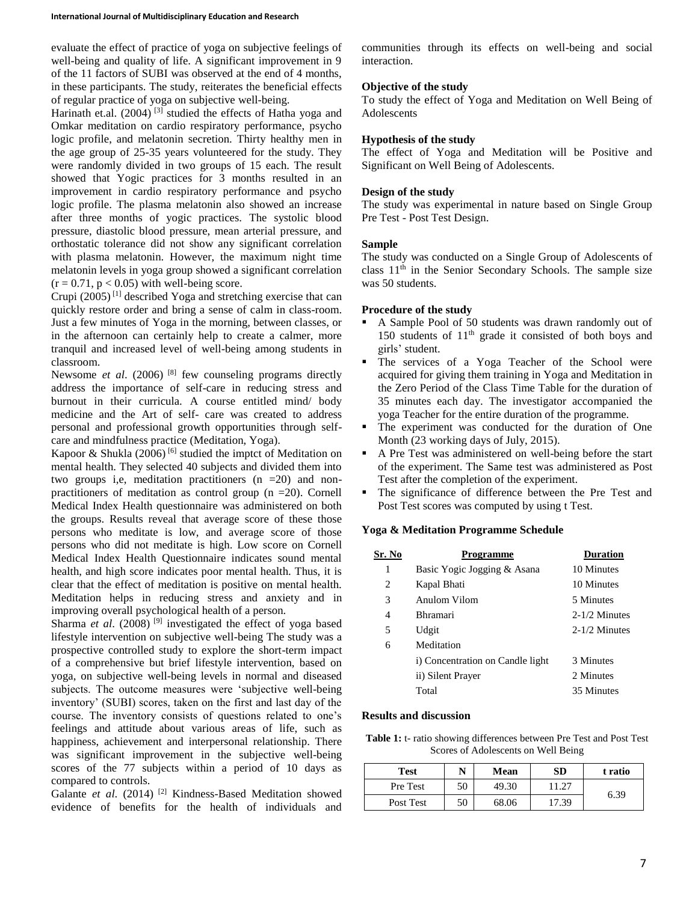evaluate the effect of practice of yoga on subjective feelings of well-being and quality of life. A significant improvement in 9 of the 11 factors of SUBI was observed at the end of 4 months, in these participants. The study, reiterates the beneficial effects of regular practice of yoga on subjective well-being.

Harinath et.al. (2004)<sup>[3]</sup> studied the effects of Hatha yoga and Omkar meditation on cardio respiratory performance, psycho logic profile, and melatonin secretion. Thirty healthy men in the age group of 25-35 years volunteered for the study. They were randomly divided in two groups of 15 each. The result showed that Yogic practices for 3 months resulted in an improvement in cardio respiratory performance and psycho logic profile. The plasma melatonin also showed an increase after three months of yogic practices. The systolic blood pressure, diastolic blood pressure, mean arterial pressure, and orthostatic tolerance did not show any significant correlation with plasma melatonin. However, the maximum night time melatonin levels in yoga group showed a significant correlation  $(r = 0.71, p < 0.05)$  with well-being score.

Crupi  $(2005)^{[1]}$  described Yoga and stretching exercise that can quickly restore order and bring a sense of calm in class-room. Just a few minutes of Yoga in the morning, between classes, or in the afternoon can certainly help to create a calmer, more tranquil and increased level of well-being among students in classroom.

Newsome *et al.* (2006) <sup>[8]</sup> few counseling programs directly address the importance of self-care in reducing stress and burnout in their curricula. A course entitled mind/ body medicine and the Art of self- care was created to address personal and professional growth opportunities through selfcare and mindfulness practice (Meditation, Yoga).

Kapoor & Shukla (2006)<sup>[6]</sup> studied the imptct of Meditation on mental health. They selected 40 subjects and divided them into two groups i,e, meditation practitioners  $(n = 20)$  and nonpractitioners of meditation as control group (n =20). Cornell Medical Index Health questionnaire was administered on both the groups. Results reveal that average score of these those persons who meditate is low, and average score of those persons who did not meditate is high. Low score on Cornell Medical Index Health Questionnaire indicates sound mental health, and high score indicates poor mental health. Thus, it is clear that the effect of meditation is positive on mental health. Meditation helps in reducing stress and anxiety and in improving overall psychological health of a person.

Sharma *et al*. (2008) [9] investigated the effect of yoga based lifestyle intervention on subjective well-being The study was a prospective controlled study to explore the short-term impact of a comprehensive but brief lifestyle intervention, based on yoga, on subjective well-being levels in normal and diseased subjects. The outcome measures were 'subjective well-being inventory' (SUBI) scores, taken on the first and last day of the course. The inventory consists of questions related to one's feelings and attitude about various areas of life, such as happiness, achievement and interpersonal relationship. There was significant improvement in the subjective well-being scores of the 77 subjects within a period of 10 days as compared to controls.

Galante *et al.* (2014)<sup>[2]</sup> Kindness-Based Meditation showed evidence of benefits for the health of individuals and

communities through its effects on well-being and social interaction.

## **Objective of the study**

To study the effect of Yoga and Meditation on Well Being of Adolescents

## **Hypothesis of the study**

The effect of Yoga and Meditation will be Positive and Significant on Well Being of Adolescents.

## **Design of the study**

The study was experimental in nature based on Single Group Pre Test - Post Test Design.

#### **Sample**

The study was conducted on a Single Group of Adolescents of class 11th in the Senior Secondary Schools. The sample size was 50 students.

## **Procedure of the study**

- A Sample Pool of 50 students was drawn randomly out of 150 students of  $11<sup>th</sup>$  grade it consisted of both boys and girls' student.
- The services of a Yoga Teacher of the School were acquired for giving them training in Yoga and Meditation in the Zero Period of the Class Time Table for the duration of 35 minutes each day. The investigator accompanied the yoga Teacher for the entire duration of the programme.
- The experiment was conducted for the duration of One Month (23 working days of July, 2015).
- A Pre Test was administered on well-being before the start of the experiment. The Same test was administered as Post Test after the completion of the experiment.
- The significance of difference between the Pre Test and Post Test scores was computed by using t Test.

#### **Yoga & Meditation Programme Schedule**

| Sr. No | Programme                        | <b>Duration</b> |
|--------|----------------------------------|-----------------|
| 1      | Basic Yogic Jogging & Asana      | 10 Minutes      |
| 2      | Kapal Bhati                      | 10 Minutes      |
| 3      | Anulom Vilom                     | 5 Minutes       |
| 4      | <b>Bhramari</b>                  | $2-1/2$ Minutes |
| 5      | Udgit                            | $2-1/2$ Minutes |
| 6      | Meditation                       |                 |
|        | i) Concentration on Candle light | 3 Minutes       |
|        | ii) Silent Prayer                | 2 Minutes       |
|        | Total                            | 35 Minutes      |

#### **Results and discussion**

**Table 1:** t- ratio showing differences between Pre Test and Post Test Scores of Adolescents on Well Being

| <b>Test</b> | N  | Mean  | SD    | t ratio |
|-------------|----|-------|-------|---------|
| Pre Test    | 50 | 49.30 | 11.27 | 6.39    |
| Post Test   | 50 | 68.06 | 17.39 |         |